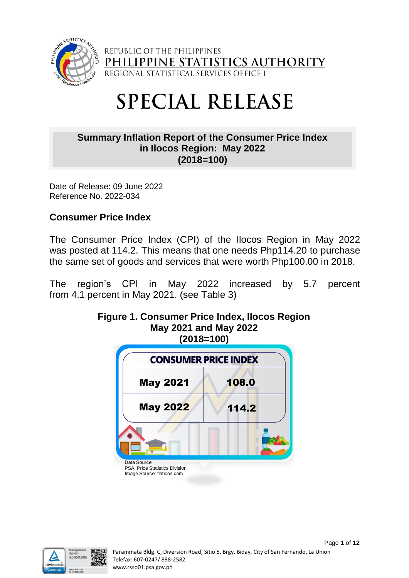

REPUBLIC OF THE PHILIPPINES PHILIPPINE STATISTICS AUT 'HORI

# **SPECIAL RELEASE**

## **Summary Inflation Report of the Consumer Price Index in Ilocos Region: May 2022 (2018=100)**

Date of Release: 09 June 2022 Reference No. 2022-034

## **Consumer Price Index**

The Consumer Price Index (CPI) of the Ilocos Region in May 2022 was posted at 114.2. This means that one needs Php114.20 to purchase the same set of goods and services that were worth Php100.00 in 2018.

The region's CPI in May 2022 increased by 5.7 percent from 4.1 percent in May 2021. (see Table 3)



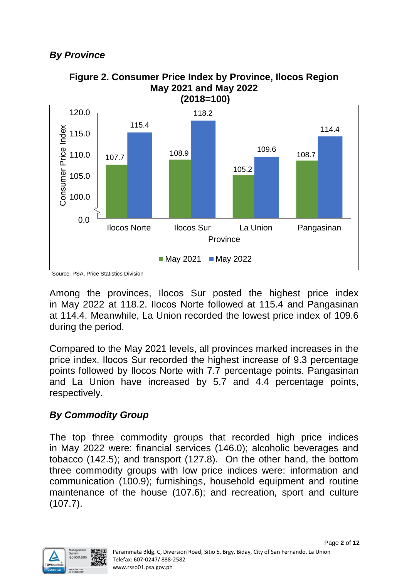# *By Province*



**Figure 2. Consumer Price Index by Province, Ilocos Region May 2021 and May 2022**

Among the provinces, Ilocos Sur posted the highest price index in May 2022 at 118.2. Ilocos Norte followed at 115.4 and Pangasinan at 114.4. Meanwhile, La Union recorded the lowest price index of 109.6 during the period.

Compared to the May 2021 levels, all provinces marked increases in the price index. Ilocos Sur recorded the highest increase of 9.3 percentage points followed by Ilocos Norte with 7.7 percentage points. Pangasinan and La Union have increased by 5.7 and 4.4 percentage points, respectively.

## *By Commodity Group*

The top three commodity groups that recorded high price indices in May 2022 were: financial services (146.0); alcoholic beverages and tobacco (142.5); and transport (127.8). On the other hand, the bottom three commodity groups with low price indices were: information and communication (100.9); furnishings, household equipment and routine maintenance of the house (107.6); and recreation, sport and culture (107.7).



Source: PSA, Price Statistics Division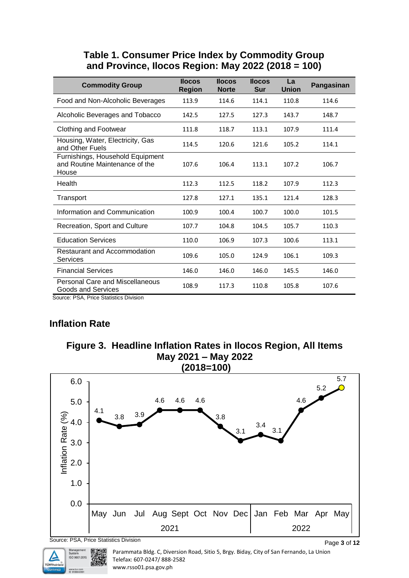#### **Table 1. Consumer Price Index by Commodity Group and Province, Ilocos Region: May 2022 (2018 = 100)**

| <b>Commodity Group</b>                                                      | <b>Ilocos</b><br><b>Region</b> | <b>Ilocos</b><br><b>Norte</b> | <b>Ilocos</b><br><b>Sur</b> | La<br><b>Union</b> | Pangasinan |
|-----------------------------------------------------------------------------|--------------------------------|-------------------------------|-----------------------------|--------------------|------------|
| Food and Non-Alcoholic Beverages                                            | 113.9                          | 114.6                         | 114.1                       | 110.8              | 114.6      |
| Alcoholic Beverages and Tobacco                                             | 142.5                          | 127.5                         | 127.3                       | 143.7              | 148.7      |
| Clothing and Footwear                                                       | 111.8                          | 118.7                         | 113.1                       | 107.9              | 111.4      |
| Housing, Water, Electricity, Gas<br>and Other Fuels                         | 114.5                          | 120.6                         | 121.6                       | 105.2              | 114.1      |
| Furnishings, Household Equipment<br>and Routine Maintenance of the<br>House | 107.6                          | 106.4                         | 113.1                       | 107.2              | 106.7      |
| Health                                                                      | 112.3                          | 112.5                         | 118.2                       | 107.9              | 112.3      |
| Transport                                                                   | 127.8                          | 127.1                         | 135.1                       | 121.4              | 128.3      |
| Information and Communication                                               | 100.9                          | 100.4                         | 100.7                       | 100.0              | 101.5      |
| Recreation, Sport and Culture                                               | 107.7                          | 104.8                         | 104.5                       | 105.7              | 110.3      |
| <b>Education Services</b>                                                   | 110.0                          | 106.9                         | 107.3                       | 100.6              | 113.1      |
| Restaurant and Accommodation<br><b>Services</b>                             | 109.6                          | 105.0                         | 124.9                       | 106.1              | 109.3      |
| <b>Financial Services</b>                                                   | 146.0                          | 146.0                         | 146.0                       | 145.5              | 146.0      |
| <b>Personal Care and Miscellaneous</b><br><b>Goods and Services</b>         | 108.9                          | 117.3                         | 110.8                       | 105.8              | 107.6      |

Source: PSA, Price Statistics Division

## **Inflation Rate**

TÜVRhei



Parammata Bldg. C, Diversion Road, Sitio 5, Brgy. Biday, City of San Fernando, La Union Telefax: 607-0247/ 888-2582 www.rsso01.psa.gov.ph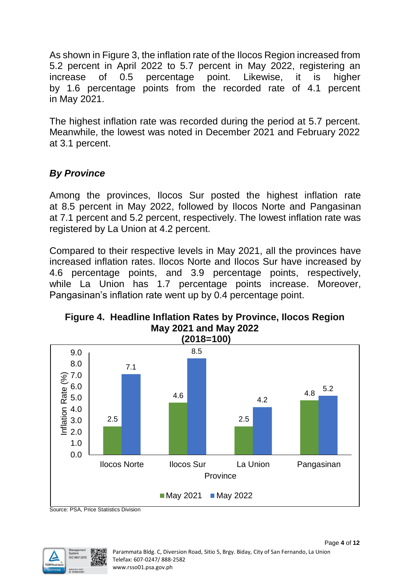As shown in Figure 3, the inflation rate of the Ilocos Region increased from 5.2 percent in April 2022 to 5.7 percent in May 2022, registering an increase of 0.5 percentage point. Likewise, it is higher by 1.6 percentage points from the recorded rate of 4.1 percent in May 2021.

The highest inflation rate was recorded during the period at 5.7 percent. Meanwhile, the lowest was noted in December 2021 and February 2022 at 3.1 percent.

## *By Province*

Among the provinces, Ilocos Sur posted the highest inflation rate at 8.5 percent in May 2022, followed by Ilocos Norte and Pangasinan at 7.1 percent and 5.2 percent, respectively. The lowest inflation rate was registered by La Union at 4.2 percent.

Compared to their respective levels in May 2021, all the provinces have increased inflation rates. Ilocos Norte and Ilocos Sur have increased by 4.6 percentage points, and 3.9 percentage points, respectively, while La Union has 1.7 percentage points increase. Moreover, Pangasinan's inflation rate went up by 0.4 percentage point.



## **Figure 4. Headline Inflation Rates by Province, Ilocos Region May 2021 and May 2022**

Source: PSA, Price Statistics Division

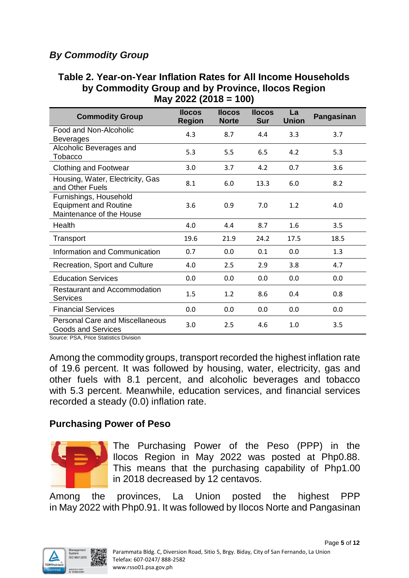# *By Commodity Group*

#### **Table 2. Year-on-Year Inflation Rates for All Income Households by Commodity Group and by Province, Ilocos Region May 2022 (2018 = 100)**

| <b>Commodity Group</b>                                                             | <b>Ilocos</b><br><b>Region</b> | <b>Ilocos</b><br><b>Norte</b> | <b>Ilocos</b><br><b>Sur</b> | La<br><b>Union</b> | Pangasinan |
|------------------------------------------------------------------------------------|--------------------------------|-------------------------------|-----------------------------|--------------------|------------|
| Food and Non-Alcoholic<br><b>Beverages</b>                                         | 4.3                            | 8.7                           | 4.4                         | 3.3                | 3.7        |
| Alcoholic Beverages and<br>Tobacco                                                 | 5.3                            | 5.5                           | 6.5                         | 4.2                | 5.3        |
| <b>Clothing and Footwear</b>                                                       | 3.0                            | 3.7                           | 4.2                         | 0.7                | 3.6        |
| Housing, Water, Electricity, Gas<br>and Other Fuels                                | 8.1                            | 6.0                           | 13.3                        | 6.0                | 8.2        |
| Furnishings, Household<br><b>Equipment and Routine</b><br>Maintenance of the House | 3.6                            | 0.9                           | 7.0                         | 1.2                | 4.0        |
| Health                                                                             | 4.0                            | 4.4                           | 8.7                         | 1.6                | 3.5        |
| Transport                                                                          | 19.6                           | 21.9                          | 24.2                        | 17.5               | 18.5       |
| Information and Communication                                                      | 0.7                            | 0.0                           | 0.1                         | 0.0                | 1.3        |
| Recreation, Sport and Culture                                                      | 4.0                            | 2.5                           | 2.9                         | 3.8                | 4.7        |
| <b>Education Services</b>                                                          | 0.0                            | 0.0                           | 0.0                         | 0.0                | 0.0        |
| Restaurant and Accommodation<br>Services                                           | 1.5                            | 1.2                           | 8.6                         | 0.4                | 0.8        |
| <b>Financial Services</b>                                                          | 0.0                            | 0.0                           | 0.0                         | 0.0                | 0.0        |
| <b>Personal Care and Miscellaneous</b><br><b>Goods and Services</b>                | 3.0                            | 2.5                           | 4.6                         | 1.0                | 3.5        |

Source: PSA, Price Statistics Division

Among the commodity groups, transport recorded the highest inflation rate of 19.6 percent. It was followed by housing, water, electricity, gas and other fuels with 8.1 percent, and alcoholic beverages and tobacco with 5.3 percent. Meanwhile, education services, and financial services recorded a steady (0.0) inflation rate.

#### **Purchasing Power of Peso**



The Purchasing Power of the Peso (PPP) in the Ilocos Region in May 2022 was posted at Php0.88. This means that the purchasing capability of Php1.00 in 2018 decreased by 12 centavos.

Among the provinces, La Union posted the highest PPP in May 2022 with Php0.91. It was followed by Ilocos Norte and Pangasinan

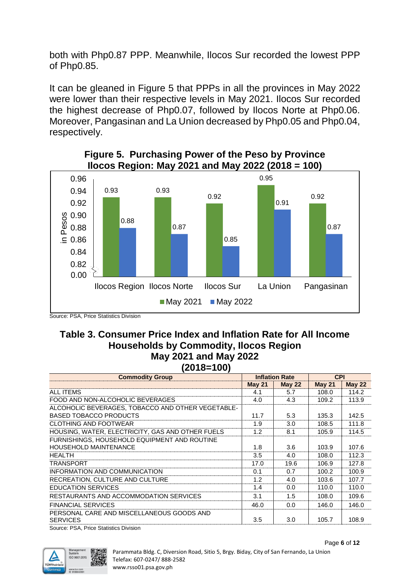both with Php0.87 PPP. Meanwhile, Ilocos Sur recorded the lowest PPP of Php0.85.

It can be gleaned in Figure 5 that PPPs in all the provinces in May 2022 were lower than their respective levels in May 2021. Ilocos Sur recorded the highest decrease of Php0.07, followed by Ilocos Norte at Php0.06. Moreover, Pangasinan and La Union decreased by Php0.05 and Php0.04, respectively.



#### **Figure 5. Purchasing Power of the Peso by Province Ilocos Region: May 2021 and May 2022 (2018 = 100)**

Source: PSA, Price Statistics Division

#### **Table 3. Consumer Price Index and Inflation Rate for All Income Households by Commodity, Ilocos Region May 2021 and May 2022 (2018=100)**

| <b>Commodity Group</b> |                  |                              |                     |  |  |  |
|------------------------|------------------|------------------------------|---------------------|--|--|--|
| <b>May 21</b>          | <b>May 22</b>    | <b>May 21</b>                | <b>May 22</b>       |  |  |  |
| 4.1                    | 5.7              | 108.0                        | 114.2               |  |  |  |
| 4.0                    | 4.3              | 109.2                        | 113.9               |  |  |  |
|                        |                  |                              |                     |  |  |  |
| 11.7                   | 5.3              | 135.3                        | 142.5               |  |  |  |
| 1.9                    | 3.0 <sub>2</sub> | 108.5                        | 111.8               |  |  |  |
| 1.2                    | 8.1              | 105.9                        | 114.5               |  |  |  |
|                        |                  |                              |                     |  |  |  |
| 1.8                    | 3.6              | 103.9                        | 107.6               |  |  |  |
| 3.5                    | 4.0              | 108.0                        | 112.3               |  |  |  |
| 17.0                   | 19.6             | 106.9                        | 127.8               |  |  |  |
| 0.1                    | 0.7              | 100.2                        | 100.9               |  |  |  |
| 1.2                    | 4.0              | 103.6                        | 107.7               |  |  |  |
| 1.4                    | 0.0              | 110.0                        | 110.0               |  |  |  |
| 3.1                    | 1.5              | 108.0                        | 109.6               |  |  |  |
| 46.0                   | 0.0              | 146.0                        | 146.0               |  |  |  |
|                        |                  |                              |                     |  |  |  |
|                        |                  |                              | 108.9               |  |  |  |
|                        | 3.5              | <b>Inflation Rate</b><br>3.0 | <b>CPI</b><br>105.7 |  |  |  |

Source: PSA, Price Statistics Division

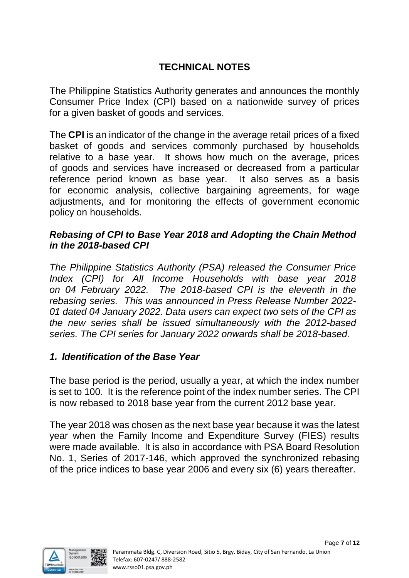# **TECHNICAL NOTES**

The Philippine Statistics Authority generates and announces the monthly Consumer Price Index (CPI) based on a nationwide survey of prices for a given basket of goods and services.

The **CPI** is an indicator of the change in the average retail prices of a fixed basket of goods and services commonly purchased by households relative to a base year. It shows how much on the average, prices of goods and services have increased or decreased from a particular reference period known as base year. It also serves as a basis for economic analysis, collective bargaining agreements, for wage adjustments, and for monitoring the effects of government economic policy on households.

## *Rebasing of CPI to Base Year 2018 and Adopting the Chain Method in the 2018-based CPI*

*The Philippine Statistics Authority (PSA) released the Consumer Price Index (CPI) for All Income Households with base year 2018 on 04 February 2022. The 2018-based CPI is the eleventh in the rebasing series. This was announced in Press Release Number 2022- 01 dated 04 January 2022. Data users can expect two sets of the CPI as the new series shall be issued simultaneously with the 2012-based series. The CPI series for January 2022 onwards shall be 2018-based.* 

## *1. Identification of the Base Year*

The base period is the period, usually a year, at which the index number is set to 100. It is the reference point of the index number series. The CPI is now rebased to 2018 base year from the current 2012 base year.

The year 2018 was chosen as the next base year because it was the latest year when the Family Income and Expenditure Survey (FIES) results were made available. It is also in accordance with PSA Board Resolution No. 1, Series of 2017-146, which approved the synchronized rebasing of the price indices to base year 2006 and every six (6) years thereafter.

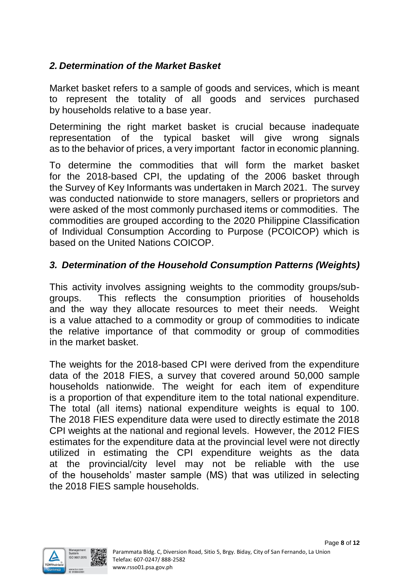## *2. Determination of the Market Basket*

Market basket refers to a sample of goods and services, which is meant to represent the totality of all goods and services purchased by households relative to a base year.

Determining the right market basket is crucial because inadequate representation of the typical basket will give wrong signals as to the behavior of prices, a very important factor in economic planning.

To determine the commodities that will form the market basket for the 2018-based CPI, the updating of the 2006 basket through the Survey of Key Informants was undertaken in March 2021. The survey was conducted nationwide to store managers, sellers or proprietors and were asked of the most commonly purchased items or commodities. The commodities are grouped according to the 2020 Philippine Classification of Individual Consumption According to Purpose (PCOICOP) which is based on the United Nations COICOP.

## *3. Determination of the Household Consumption Patterns (Weights)*

This activity involves assigning weights to the commodity groups/subgroups. This reflects the consumption priorities of households and the way they allocate resources to meet their needs. Weight is a value attached to a commodity or group of commodities to indicate the relative importance of that commodity or group of commodities in the market basket.

The weights for the 2018-based CPI were derived from the expenditure data of the 2018 FIES, a survey that covered around 50,000 sample households nationwide. The weight for each item of expenditure is a proportion of that expenditure item to the total national expenditure. The total (all items) national expenditure weights is equal to 100. The 2018 FIES expenditure data were used to directly estimate the 2018 CPI weights at the national and regional levels. However, the 2012 FIES estimates for the expenditure data at the provincial level were not directly utilized in estimating the CPI expenditure weights as the data at the provincial/city level may not be reliable with the use of the households' master sample (MS) that was utilized in selecting the 2018 FIES sample households.

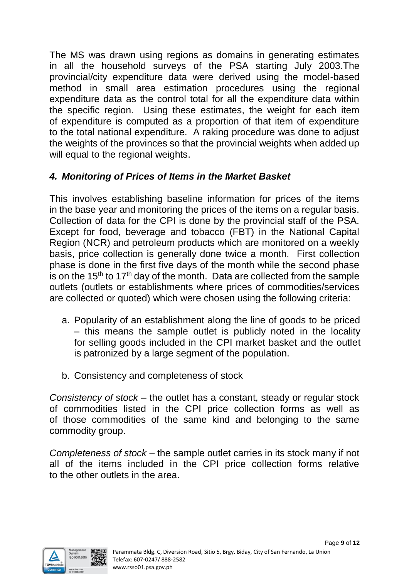The MS was drawn using regions as domains in generating estimates in all the household surveys of the PSA starting July 2003.The provincial/city expenditure data were derived using the model-based method in small area estimation procedures using the regional expenditure data as the control total for all the expenditure data within the specific region. Using these estimates, the weight for each item of expenditure is computed as a proportion of that item of expenditure to the total national expenditure. A raking procedure was done to adjust the weights of the provinces so that the provincial weights when added up will equal to the regional weights.

## *4. Monitoring of Prices of Items in the Market Basket*

This involves establishing baseline information for prices of the items in the base year and monitoring the prices of the items on a regular basis. Collection of data for the CPI is done by the provincial staff of the PSA. Except for food, beverage and tobacco (FBT) in the National Capital Region (NCR) and petroleum products which are monitored on a weekly basis, price collection is generally done twice a month. First collection phase is done in the first five days of the month while the second phase is on the 15<sup>th</sup> to 17<sup>th</sup> day of the month. Data are collected from the sample outlets (outlets or establishments where prices of commodities/services are collected or quoted) which were chosen using the following criteria:

- a. Popularity of an establishment along the line of goods to be priced – this means the sample outlet is publicly noted in the locality for selling goods included in the CPI market basket and the outlet is patronized by a large segment of the population.
- b. Consistency and completeness of stock

*Consistency of stock* – the outlet has a constant, steady or regular stock of commodities listed in the CPI price collection forms as well as of those commodities of the same kind and belonging to the same commodity group.

*Completeness of stock* – the sample outlet carries in its stock many if not all of the items included in the CPI price collection forms relative to the other outlets in the area.

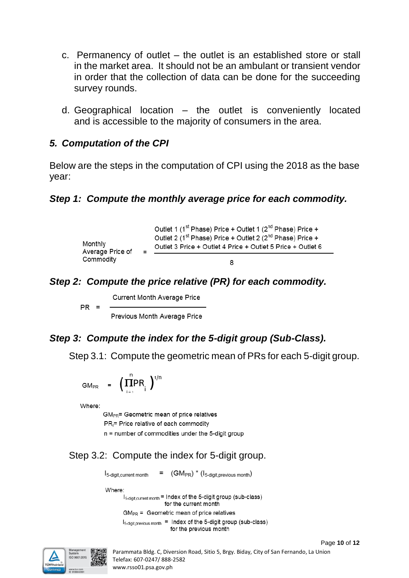- c. Permanency of outlet the outlet is an established store or stall in the market area. It should not be an ambulant or transient vendor in order that the collection of data can be done for the succeeding survey rounds.
- d. Geographical location the outlet is conveniently located and is accessible to the majority of consumers in the area.

## *5. Computation of the CPI*

Below are the steps in the computation of CPI using the 2018 as the base year:

#### *Step 1: Compute the monthly average price for each commodity.*

|                                                  |                                                                                                                                      | Outlet 1 (1 <sup>st</sup> Phase) Price + Outlet 1 ( $2^{n}$ Phase) Price + |
|--------------------------------------------------|--------------------------------------------------------------------------------------------------------------------------------------|----------------------------------------------------------------------------|
| Monthly<br>Average Price of<br>$\equiv$ $\equiv$ | Outlet 2 (1st Phase) Price + Outlet 2 (2 <sup>nd</sup> Phase) Price +<br>Outlet 3 Price + Outlet 4 Price + Outlet 5 Price + Outlet 6 |                                                                            |
| Commodity                                        |                                                                                                                                      |                                                                            |

## *Step 2: Compute the price relative (PR) for each commodity.*

**Current Month Average Price** 

Previous Month Average Price

#### *Step 3: Compute the index for the 5-digit group (Sub-Class).*

Step 3.1: Compute the geometric mean of PRs for each 5-digit group.

$$
GM_{PR} = \left(\prod_{i=1}^{n} PR_{i}\right)^{1/n}
$$

Where:

 $PR =$ 

GM<sub>PR</sub>= Geometric mean of price relatives PR<sub>i</sub>= Price relative of each commodity n = number of commodities under the 5-digit group

## Step 3.2: Compute the index for 5-digit group.

 $=$  (GM<sub>PR</sub>)  $*$  (1<sub>5-digit, previous month)</sub> 15-digit, current month

Where:

I<sub>5-digit, current month</sub> = Index of the 5-digit group (sub-class) for the current month

 $GM_{PR}$  = Geometric mean of price relatives

I<sub>5-digit, previous month</sub> = Index of the 5-digit group (sub-class) for the previous month

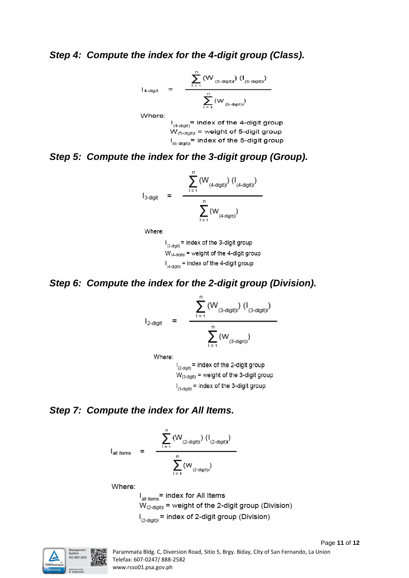#### *Step 4: Compute the index for the 4-digit group (Class).*

$$
I_{4\textrm{-digit}} \quad = \quad \frac{\displaystyle \sum_{i \, = \, 1}^n \, (W_{(5\textrm{-digit})i}) \, \, (I_{(5\textrm{-digit})i})}{\displaystyle \sum_{i \, = \, 1}^n \, (W_{(5\textrm{-digit})i})}
$$

Where:

 $I_{(4\textrm{-digit})}$  = index of the 4-digit group  $W_{(5\textrm{-digit})i}$  = weight of 5-digit group  $I_{(5\textrm{-digit})}$  = index of the 5-digit group

## *Step 5: Compute the index for the 3-digit group (Group).*

$$
I_{3\textrm{-digit}} \quad = \quad \frac{\displaystyle\sum_{i \, = \, 1}^n \, (W_{(4\textrm{-digit})i}) \, (I_{(4\textrm{-digit})i})}{\displaystyle\sum_{i \, = \, 1}^n \, (W_{(4\textrm{-digit})i})}
$$

Where:

 $I_{(3\textrm{-digit})}$  = index of the 3-digit group  $W_{(4\textrm{-digit})}$  = weight of the 4-digit group  $I_{(4\textrm{-digit})}$  = index of the 4-digit group

#### *Step 6: Compute the index for the 2-digit group (Division).*

$$
I_{2\text{-digit}} = \frac{\sum_{i=1}^{n} (W_{(3\text{-digit})i}) (I_{(3\text{-digit})i})}{\sum_{i=1}^{n} (W_{(3\text{-digit})i})}
$$

Where:

 $I_{(2\textrm{-digit})}$  = index of the 2-digit group  $W_{(3\textrm{-doint})}$  = weight of the 3-digit group  $I_{(3\textrm{-doint})}$  = index of the 3-digit group

#### *Step 7: Compute the index for All Items.*

I<sub>all items</sub> = 
$$
\frac{\sum_{i=1}^{n} (W_{(2\textrm{-digit})i}) (I_{(2\textrm{-digit})i})}{\sum_{i=1}^{n} (W_{(2\textrm{-digit})i})}
$$

Where:

 $I_{all items}$  = index for All Items  $W_{(2\text{-digit})i}$  = weight of the 2-digit group (Division)  $I_{(2\textrm{-digit})}$  = index of 2-digit group (Division)